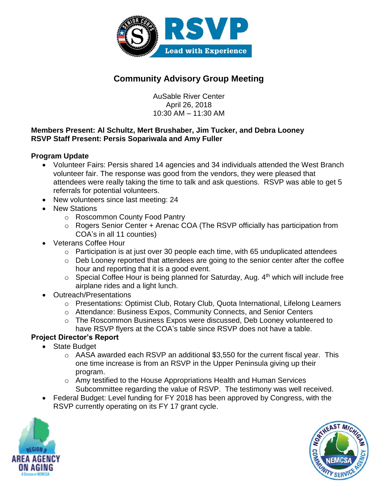

# **Community Advisory Group Meeting**

AuSable River Center April 26, 2018 10:30 AM – 11:30 AM

### **Members Present: Al Schultz, Mert Brushaber, Jim Tucker, and Debra Looney RSVP Staff Present: Persis Sopariwala and Amy Fuller**

## **Program Update**

- Volunteer Fairs: Persis shared 14 agencies and 34 individuals attended the West Branch volunteer fair. The response was good from the vendors, they were pleased that attendees were really taking the time to talk and ask questions. RSVP was able to get 5 referrals for potential volunteers.
- New volunteers since last meeting: 24
- New Stations
	- o Roscommon County Food Pantry
	- o Rogers Senior Center + Arenac COA (The RSVP officially has participation from COA's in all 11 counties)
- Veterans Coffee Hour
	- o Participation is at just over 30 people each time, with 65 unduplicated attendees
	- o Deb Looney reported that attendees are going to the senior center after the coffee hour and reporting that it is a good event.
	- $\circ$  Special Coffee Hour is being planned for Saturday, Aug.  $4<sup>th</sup>$  which will include free airplane rides and a light lunch.
- Outreach/Presentations
	- o Presentations: Optimist Club, Rotary Club, Quota International, Lifelong Learners
	- o Attendance: Business Expos, Community Connects, and Senior Centers
	- o The Roscommon Business Expos were discussed, Deb Looney volunteered to have RSVP flyers at the COA's table since RSVP does not have a table.

## **Project Director's Report**

- State Budget
	- o AASA awarded each RSVP an additional \$3,550 for the current fiscal year. This one time increase is from an RSVP in the Upper Peninsula giving up their program.
	- o Amy testified to the House Appropriations Health and Human Services Subcommittee regarding the value of RSVP. The testimony was well received.
- Federal Budget: Level funding for FY 2018 has been approved by Congress, with the RSVP currently operating on its FY 17 grant cycle.